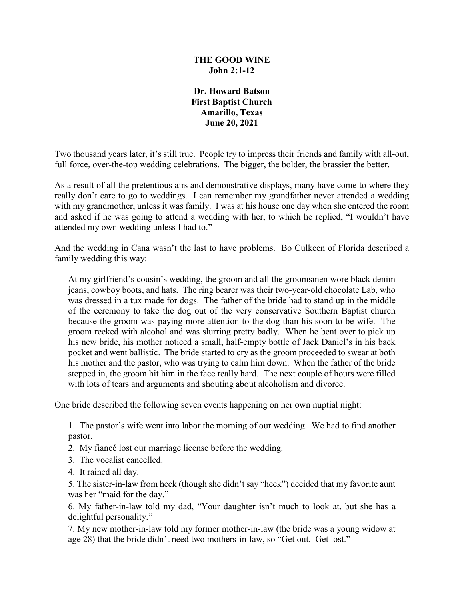#### **THE GOOD WINE John 2:1-12**

**Dr. Howard Batson First Baptist Church Amarillo, Texas June 20, 2021**

Two thousand years later, it's still true. People try to impress their friends and family with all-out, full force, over-the-top wedding celebrations. The bigger, the bolder, the brassier the better.

As a result of all the pretentious airs and demonstrative displays, many have come to where they really don't care to go to weddings. I can remember my grandfather never attended a wedding with my grandmother, unless it was family. I was at his house one day when she entered the room and asked if he was going to attend a wedding with her, to which he replied, "I wouldn't have attended my own wedding unless I had to."

And the wedding in Cana wasn't the last to have problems. Bo Culkeen of Florida described a family wedding this way:

At my girlfriend's cousin's wedding, the groom and all the groomsmen wore black denim jeans, cowboy boots, and hats. The ring bearer was their two-year-old chocolate Lab, who was dressed in a tux made for dogs. The father of the bride had to stand up in the middle of the ceremony to take the dog out of the very conservative Southern Baptist church because the groom was paying more attention to the dog than his soon-to-be wife. The groom reeked with alcohol and was slurring pretty badly. When he bent over to pick up his new bride, his mother noticed a small, half-empty bottle of Jack Daniel's in his back pocket and went ballistic. The bride started to cry as the groom proceeded to swear at both his mother and the pastor, who was trying to calm him down. When the father of the bride stepped in, the groom hit him in the face really hard. The next couple of hours were filled with lots of tears and arguments and shouting about alcoholism and divorce.

One bride described the following seven events happening on her own nuptial night:

1. The pastor's wife went into labor the morning of our wedding. We had to find another pastor.

- 2. My fiancé lost our marriage license before the wedding.
- 3. The vocalist cancelled.
- 4. It rained all day.

5. The sister-in-law from heck (though she didn't say "heck") decided that my favorite aunt was her "maid for the day."

6. My father-in-law told my dad, "Your daughter isn't much to look at, but she has a delightful personality."

7. My new mother-in-law told my former mother-in-law (the bride was a young widow at age 28) that the bride didn't need two mothers-in-law, so "Get out. Get lost."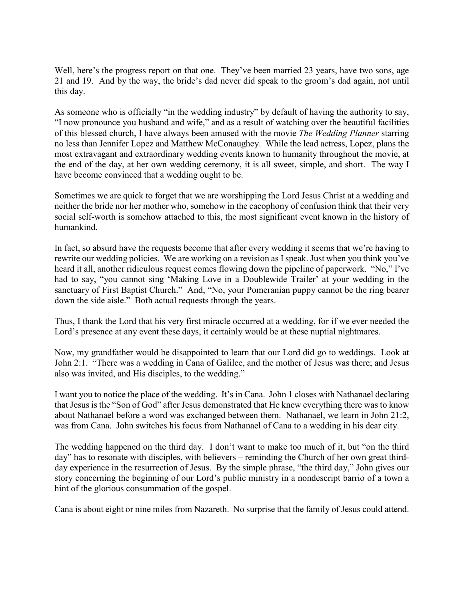Well, here's the progress report on that one. They've been married 23 years, have two sons, age 21 and 19. And by the way, the bride's dad never did speak to the groom's dad again, not until this day.

As someone who is officially "in the wedding industry" by default of having the authority to say, "I now pronounce you husband and wife," and as a result of watching over the beautiful facilities of this blessed church, I have always been amused with the movie *The Wedding Planner* starring no less than Jennifer Lopez and Matthew McConaughey. While the lead actress, Lopez, plans the most extravagant and extraordinary wedding events known to humanity throughout the movie, at the end of the day, at her own wedding ceremony, it is all sweet, simple, and short. The way I have become convinced that a wedding ought to be.

Sometimes we are quick to forget that we are worshipping the Lord Jesus Christ at a wedding and neither the bride nor her mother who, somehow in the cacophony of confusion think that their very social self-worth is somehow attached to this, the most significant event known in the history of humankind.

In fact, so absurd have the requests become that after every wedding it seems that we're having to rewrite our wedding policies. We are working on a revision as I speak. Just when you think you've heard it all, another ridiculous request comes flowing down the pipeline of paperwork. "No," I've had to say, "you cannot sing 'Making Love in a Doublewide Trailer' at your wedding in the sanctuary of First Baptist Church." And, "No, your Pomeranian puppy cannot be the ring bearer down the side aisle." Both actual requests through the years.

Thus, I thank the Lord that his very first miracle occurred at a wedding, for if we ever needed the Lord's presence at any event these days, it certainly would be at these nuptial nightmares.

Now, my grandfather would be disappointed to learn that our Lord did go to weddings. Look at John 2:1. "There was a wedding in Cana of Galilee, and the mother of Jesus was there; and Jesus also was invited, and His disciples, to the wedding."

I want you to notice the place of the wedding. It's in Cana. John 1 closes with Nathanael declaring that Jesus is the "Son of God" after Jesus demonstrated that He knew everything there was to know about Nathanael before a word was exchanged between them. Nathanael, we learn in John 21:2, was from Cana. John switches his focus from Nathanael of Cana to a wedding in his dear city.

The wedding happened on the third day. I don't want to make too much of it, but "on the third day" has to resonate with disciples, with believers – reminding the Church of her own great thirdday experience in the resurrection of Jesus. By the simple phrase, "the third day," John gives our story concerning the beginning of our Lord's public ministry in a nondescript barrio of a town a hint of the glorious consummation of the gospel.

Cana is about eight or nine miles from Nazareth. No surprise that the family of Jesus could attend.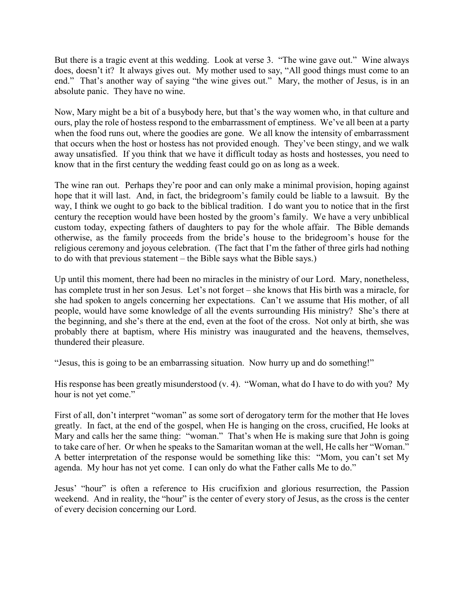But there is a tragic event at this wedding. Look at verse 3. "The wine gave out." Wine always does, doesn't it? It always gives out. My mother used to say, "All good things must come to an end." That's another way of saying "the wine gives out." Mary, the mother of Jesus, is in an absolute panic. They have no wine.

Now, Mary might be a bit of a busybody here, but that's the way women who, in that culture and ours, play the role of hostess respond to the embarrassment of emptiness. We've all been at a party when the food runs out, where the goodies are gone. We all know the intensity of embarrassment that occurs when the host or hostess has not provided enough. They've been stingy, and we walk away unsatisfied. If you think that we have it difficult today as hosts and hostesses, you need to know that in the first century the wedding feast could go on as long as a week.

The wine ran out. Perhaps they're poor and can only make a minimal provision, hoping against hope that it will last. And, in fact, the bridegroom's family could be liable to a lawsuit. By the way, I think we ought to go back to the biblical tradition. I do want you to notice that in the first century the reception would have been hosted by the groom's family. We have a very unbiblical custom today, expecting fathers of daughters to pay for the whole affair. The Bible demands otherwise, as the family proceeds from the bride's house to the bridegroom's house for the religious ceremony and joyous celebration. (The fact that I'm the father of three girls had nothing to do with that previous statement – the Bible says what the Bible says.)

Up until this moment, there had been no miracles in the ministry of our Lord. Mary, nonetheless, has complete trust in her son Jesus. Let's not forget – she knows that His birth was a miracle, for she had spoken to angels concerning her expectations. Can't we assume that His mother, of all people, would have some knowledge of all the events surrounding His ministry? She's there at the beginning, and she's there at the end, even at the foot of the cross. Not only at birth, she was probably there at baptism, where His ministry was inaugurated and the heavens, themselves, thundered their pleasure.

"Jesus, this is going to be an embarrassing situation. Now hurry up and do something!"

His response has been greatly misunderstood (v. 4). "Woman, what do I have to do with you? My hour is not yet come."

First of all, don't interpret "woman" as some sort of derogatory term for the mother that He loves greatly. In fact, at the end of the gospel, when He is hanging on the cross, crucified, He looks at Mary and calls her the same thing: "woman." That's when He is making sure that John is going to take care of her. Or when he speaks to the Samaritan woman at the well, He calls her "Woman." A better interpretation of the response would be something like this: "Mom, you can't set My agenda. My hour has not yet come. I can only do what the Father calls Me to do."

Jesus' "hour" is often a reference to His crucifixion and glorious resurrection, the Passion weekend. And in reality, the "hour" is the center of every story of Jesus, as the cross is the center of every decision concerning our Lord.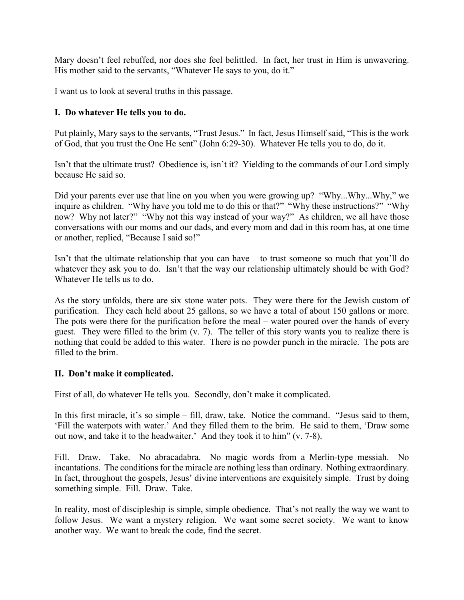Mary doesn't feel rebuffed, nor does she feel belittled. In fact, her trust in Him is unwavering. His mother said to the servants, "Whatever He says to you, do it."

I want us to look at several truths in this passage.

# **I. Do whatever He tells you to do.**

Put plainly, Mary says to the servants, "Trust Jesus." In fact, Jesus Himself said, "This is the work of God, that you trust the One He sent" (John 6:29-30). Whatever He tells you to do, do it.

Isn't that the ultimate trust? Obedience is, isn't it? Yielding to the commands of our Lord simply because He said so.

Did your parents ever use that line on you when you were growing up? "Why...Why...Why," we inquire as children. "Why have you told me to do this or that?" "Why these instructions?" "Why now? Why not later?" "Why not this way instead of your way?" As children, we all have those conversations with our moms and our dads, and every mom and dad in this room has, at one time or another, replied, "Because I said so!"

Isn't that the ultimate relationship that you can have – to trust someone so much that you'll do whatever they ask you to do. Isn't that the way our relationship ultimately should be with God? Whatever He tells us to do.

As the story unfolds, there are six stone water pots. They were there for the Jewish custom of purification. They each held about 25 gallons, so we have a total of about 150 gallons or more. The pots were there for the purification before the meal – water poured over the hands of every guest. They were filled to the brim (v. 7). The teller of this story wants you to realize there is nothing that could be added to this water. There is no powder punch in the miracle. The pots are filled to the brim.

## **II. Don't make it complicated.**

First of all, do whatever He tells you. Secondly, don't make it complicated.

In this first miracle, it's so simple – fill, draw, take. Notice the command. "Jesus said to them, 'Fill the waterpots with water.' And they filled them to the brim. He said to them, 'Draw some out now, and take it to the headwaiter.' And they took it to him" (v. 7-8).

Fill. Draw. Take. No abracadabra. No magic words from a Merlin-type messiah. No incantations. The conditions for the miracle are nothing less than ordinary. Nothing extraordinary. In fact, throughout the gospels, Jesus' divine interventions are exquisitely simple. Trust by doing something simple. Fill. Draw. Take.

In reality, most of discipleship is simple, simple obedience. That's not really the way we want to follow Jesus. We want a mystery religion. We want some secret society. We want to know another way. We want to break the code, find the secret.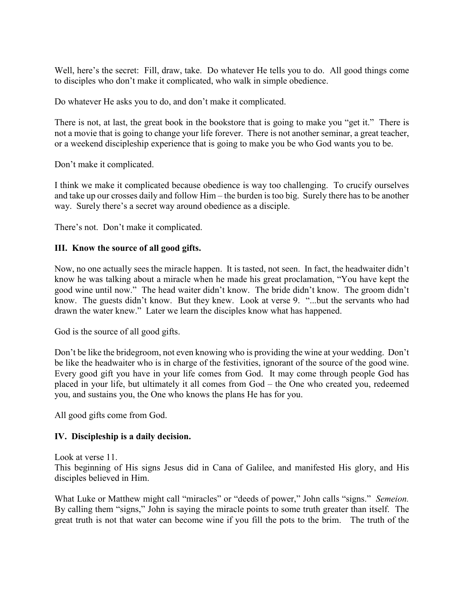Well, here's the secret: Fill, draw, take. Do whatever He tells you to do. All good things come to disciples who don't make it complicated, who walk in simple obedience.

Do whatever He asks you to do, and don't make it complicated.

There is not, at last, the great book in the bookstore that is going to make you "get it." There is not a movie that is going to change your life forever. There is not another seminar, a great teacher, or a weekend discipleship experience that is going to make you be who God wants you to be.

Don't make it complicated.

I think we make it complicated because obedience is way too challenging. To crucify ourselves and take up our crosses daily and follow Him – the burden is too big. Surely there has to be another way. Surely there's a secret way around obedience as a disciple.

There's not. Don't make it complicated.

#### **III. Know the source of all good gifts.**

Now, no one actually sees the miracle happen. It is tasted, not seen. In fact, the headwaiter didn't know he was talking about a miracle when he made his great proclamation, "You have kept the good wine until now." The head waiter didn't know. The bride didn't know. The groom didn't know. The guests didn't know. But they knew. Look at verse 9. "...but the servants who had drawn the water knew." Later we learn the disciples know what has happened.

God is the source of all good gifts.

Don't be like the bridegroom, not even knowing who is providing the wine at your wedding. Don't be like the headwaiter who is in charge of the festivities, ignorant of the source of the good wine. Every good gift you have in your life comes from God. It may come through people God has placed in your life, but ultimately it all comes from God – the One who created you, redeemed you, and sustains you, the One who knows the plans He has for you.

All good gifts come from God.

## **IV. Discipleship is a daily decision.**

Look at verse 11.

This beginning of His signs Jesus did in Cana of Galilee, and manifested His glory, and His disciples believed in Him.

What Luke or Matthew might call "miracles" or "deeds of power," John calls "signs." *Semeion.*  By calling them "signs," John is saying the miracle points to some truth greater than itself. The great truth is not that water can become wine if you fill the pots to the brim. The truth of the